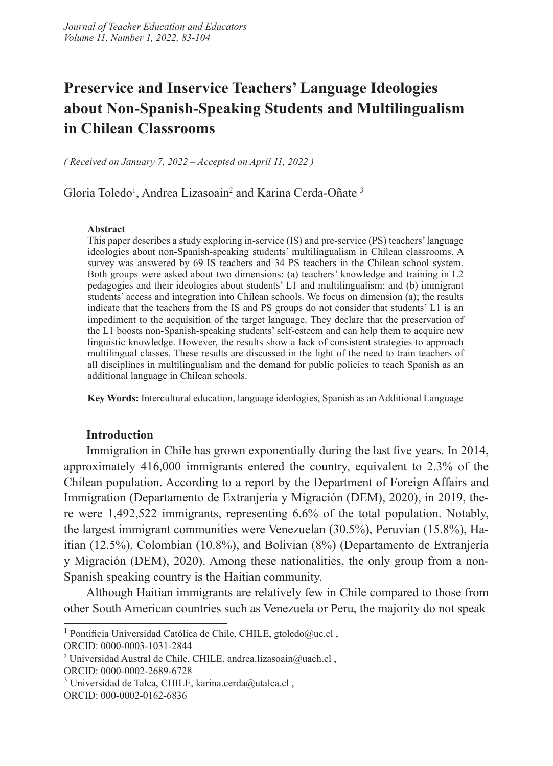# **Preservice and Inservice Teachers' Language Ideologies about Non-Spanish-Speaking Students and Multilingualism in Chilean Classrooms**

*( Received on January 7, 2022 – Accepted on April 11, 2022 )* 

Gloria Toledo<sup>1</sup>, Andrea Lizasoain<sup>2</sup> and Karina Cerda-Oñate<sup>3</sup>

#### **Abstract**

This paper describes a study exploring in-service (IS) and pre-service (PS) teachers' language ideologies about non-Spanish-speaking students' multilingualism in Chilean classrooms. A survey was answered by 69 IS teachers and 34 PS teachers in the Chilean school system. Both groups were asked about two dimensions: (a) teachers' knowledge and training in L2 pedagogies and their ideologies about students' L1 and multilingualism; and (b) immigrant students' access and integration into Chilean schools. We focus on dimension (a); the results indicate that the teachers from the IS and PS groups do not consider that students' L1 is an impediment to the acquisition of the target language. They declare that the preservation of the L1 boosts non-Spanish-speaking students' self-esteem and can help them to acquire new linguistic knowledge. However, the results show a lack of consistent strategies to approach multilingual classes. These results are discussed in the light of the need to train teachers of all disciplines in multilingualism and the demand for public policies to teach Spanish as an additional language in Chilean schools.

**Key Words:** Intercultural education, language ideologies, Spanish as an Additional Language

#### **Introduction**

Immigration in Chile has grown exponentially during the last five years. In 2014, approximately 416,000 immigrants entered the country, equivalent to 2.3% of the Chilean population. According to a report by the Department of Foreign Affairs and Immigration (Departamento de Extranjería y Migración (DEM), 2020), in 2019, there were 1,492,522 immigrants, representing 6.6% of the total population. Notably, the largest immigrant communities were Venezuelan (30.5%), Peruvian (15.8%), Haitian (12.5%), Colombian (10.8%), and Bolivian (8%) (Departamento de Extranjería y Migración (DEM), 2020). Among these nationalities, the only group from a non-Spanish speaking country is the Haitian community.

Although Haitian immigrants are relatively few in Chile compared to those from other South American countries such as Venezuela or Peru, the majority do not speak

ORCID: 0000-0003-1031-2844

ORCID: 0000-0002-2689-6728

<sup>&</sup>lt;sup>1</sup> Pontificia Universidad Católica de Chile, CHILE, gtoledo@uc.cl,

<sup>2</sup> Universidad Austral de Chile, CHILE, andrea.lizasoain@uach.cl ,

<sup>&</sup>lt;sup>3</sup> Universidad de Talca, CHILE, karina.cerda@utalca.cl,

ORCID: 000-0002-0162-6836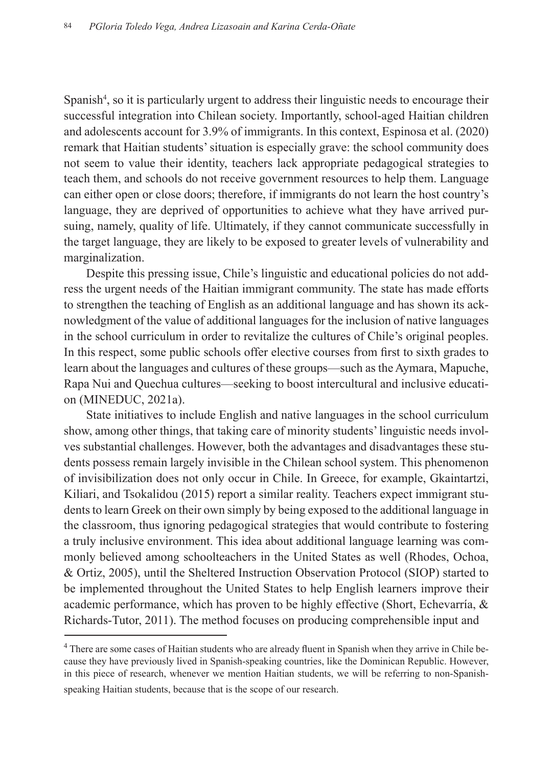Spanish<sup>4</sup>, so it is particularly urgent to address their linguistic needs to encourage their successful integration into Chilean society. Importantly, school-aged Haitian children and adolescents account for 3.9% of immigrants. In this context, Espinosa et al. (2020) remark that Haitian students' situation is especially grave: the school community does not seem to value their identity, teachers lack appropriate pedagogical strategies to teach them, and schools do not receive government resources to help them. Language can either open or close doors; therefore, if immigrants do not learn the host country's language, they are deprived of opportunities to achieve what they have arrived pursuing, namely, quality of life. Ultimately, if they cannot communicate successfully in the target language, they are likely to be exposed to greater levels of vulnerability and marginalization.

Despite this pressing issue, Chile's linguistic and educational policies do not address the urgent needs of the Haitian immigrant community. The state has made efforts to strengthen the teaching of English as an additional language and has shown its acknowledgment of the value of additional languages for the inclusion of native languages in the school curriculum in order to revitalize the cultures of Chile's original peoples. In this respect, some public schools offer elective courses from first to sixth grades to learn about the languages and cultures of these groups—such as the Aymara, Mapuche, Rapa Nui and Quechua cultures—seeking to boost intercultural and inclusive education (MINEDUC, 2021a).

State initiatives to include English and native languages in the school curriculum show, among other things, that taking care of minority students' linguistic needs involves substantial challenges. However, both the advantages and disadvantages these students possess remain largely invisible in the Chilean school system. This phenomenon of invisibilization does not only occur in Chile. In Greece, for example, Gkaintartzi, Kiliari, and Tsokalidou (2015) report a similar reality. Teachers expect immigrant students to learn Greek on their own simply by being exposed to the additional language in the classroom, thus ignoring pedagogical strategies that would contribute to fostering a truly inclusive environment. This idea about additional language learning was commonly believed among schoolteachers in the United States as well (Rhodes, Ochoa, & Ortiz, 2005), until the Sheltered Instruction Observation Protocol (SIOP) started to be implemented throughout the United States to help English learners improve their academic performance, which has proven to be highly effective (Short, Echevarría, & Richards-Tutor, 2011). The method focuses on producing comprehensible input and

<sup>&</sup>lt;sup>4</sup> There are some cases of Haitian students who are already fluent in Spanish when they arrive in Chile because they have previously lived in Spanish-speaking countries, like the Dominican Republic. However, in this piece of research, whenever we mention Haitian students, we will be referring to non-Spanishspeaking Haitian students, because that is the scope of our research.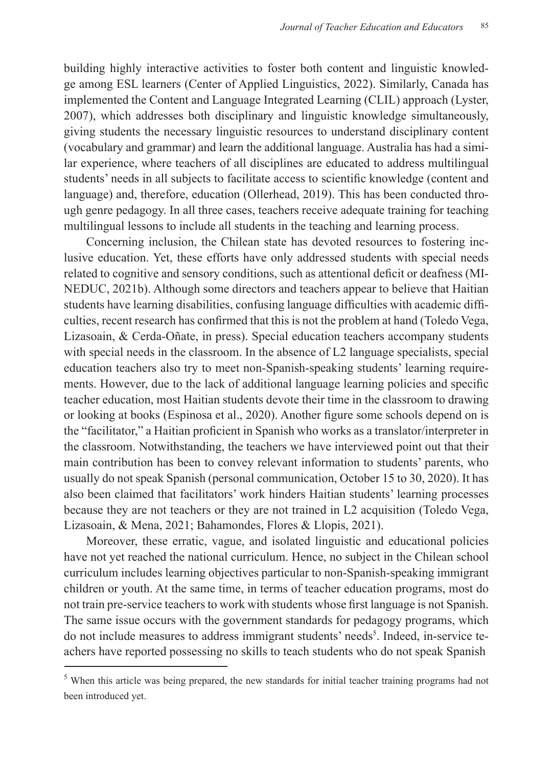building highly interactive activities to foster both content and linguistic knowledge among ESL learners (Center of Applied Linguistics, 2022). Similarly, Canada has implemented the Content and Language Integrated Learning (CLIL) approach (Lyster, 2007), which addresses both disciplinary and linguistic knowledge simultaneously, giving students the necessary linguistic resources to understand disciplinary content (vocabulary and grammar) and learn the additional language. Australia has had a similar experience, where teachers of all disciplines are educated to address multilingual students' needs in all subjects to facilitate access to scientific knowledge (content and language) and, therefore, education (Ollerhead, 2019). This has been conducted through genre pedagogy. In all three cases, teachers receive adequate training for teaching multilingual lessons to include all students in the teaching and learning process.

Concerning inclusion, the Chilean state has devoted resources to fostering inclusive education. Yet, these efforts have only addressed students with special needs related to cognitive and sensory conditions, such as attentional deficit or deafness (MI-NEDUC, 2021b). Although some directors and teachers appear to believe that Haitian students have learning disabilities, confusing language difficulties with academic difficulties, recent research has confirmed that this is not the problem at hand (Toledo Vega, Lizasoain, & Cerda-Oñate, in press). Special education teachers accompany students with special needs in the classroom. In the absence of L2 language specialists, special education teachers also try to meet non-Spanish-speaking students' learning requirements. However, due to the lack of additional language learning policies and specific teacher education, most Haitian students devote their time in the classroom to drawing or looking at books (Espinosa et al., 2020). Another figure some schools depend on is the "facilitator," a Haitian proficient in Spanish who works as a translator/interpreter in the classroom. Notwithstanding, the teachers we have interviewed point out that their main contribution has been to convey relevant information to students' parents, who usually do not speak Spanish (personal communication, October 15 to 30, 2020). It has also been claimed that facilitators' work hinders Haitian students' learning processes because they are not teachers or they are not trained in L2 acquisition (Toledo Vega, Lizasoain, & Mena, 2021; Bahamondes, Flores & Llopis, 2021).

Moreover, these erratic, vague, and isolated linguistic and educational policies have not yet reached the national curriculum. Hence, no subject in the Chilean school curriculum includes learning objectives particular to non-Spanish-speaking immigrant children or youth. At the same time, in terms of teacher education programs, most do not train pre-service teachers to work with students whose first language is not Spanish. The same issue occurs with the government standards for pedagogy programs, which do not include measures to address immigrant students' needs<sup>5</sup>. Indeed, in-service teachers have reported possessing no skills to teach students who do not speak Spanish

<sup>&</sup>lt;sup>5</sup> When this article was being prepared, the new standards for initial teacher training programs had not been introduced yet.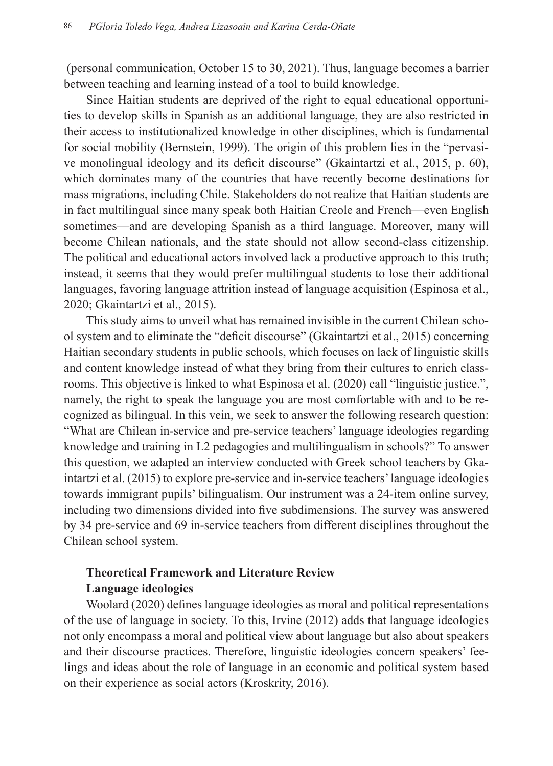(personal communication, October 15 to 30, 2021). Thus, language becomes a barrier between teaching and learning instead of a tool to build knowledge.

Since Haitian students are deprived of the right to equal educational opportunities to develop skills in Spanish as an additional language, they are also restricted in their access to institutionalized knowledge in other disciplines, which is fundamental for social mobility (Bernstein, 1999). The origin of this problem lies in the "pervasive monolingual ideology and its deficit discourse" (Gkaintartzi et al., 2015, p. 60), which dominates many of the countries that have recently become destinations for mass migrations, including Chile. Stakeholders do not realize that Haitian students are in fact multilingual since many speak both Haitian Creole and French—even English sometimes—and are developing Spanish as a third language. Moreover, many will become Chilean nationals, and the state should not allow second-class citizenship. The political and educational actors involved lack a productive approach to this truth; instead, it seems that they would prefer multilingual students to lose their additional languages, favoring language attrition instead of language acquisition (Espinosa et al., 2020; Gkaintartzi et al., 2015).

This study aims to unveil what has remained invisible in the current Chilean school system and to eliminate the "deficit discourse" (Gkaintartzi et al., 2015) concerning Haitian secondary students in public schools, which focuses on lack of linguistic skills and content knowledge instead of what they bring from their cultures to enrich classrooms. This objective is linked to what Espinosa et al. (2020) call "linguistic justice.", namely, the right to speak the language you are most comfortable with and to be recognized as bilingual. In this vein, we seek to answer the following research question: "What are Chilean in-service and pre-service teachers' language ideologies regarding knowledge and training in L2 pedagogies and multilingualism in schools?" To answer this question, we adapted an interview conducted with Greek school teachers by Gkaintartzi et al. (2015) to explore pre-service and in-service teachers' language ideologies towards immigrant pupils' bilingualism. Our instrument was a 24-item online survey, including two dimensions divided into five subdimensions. The survey was answered by 34 pre-service and 69 in-service teachers from different disciplines throughout the Chilean school system.

## **Theoretical Framework and Literature Review Language ideologies**

Woolard (2020) defines language ideologies as moral and political representations of the use of language in society. To this, Irvine (2012) adds that language ideologies not only encompass a moral and political view about language but also about speakers and their discourse practices. Therefore, linguistic ideologies concern speakers' feelings and ideas about the role of language in an economic and political system based on their experience as social actors (Kroskrity, 2016).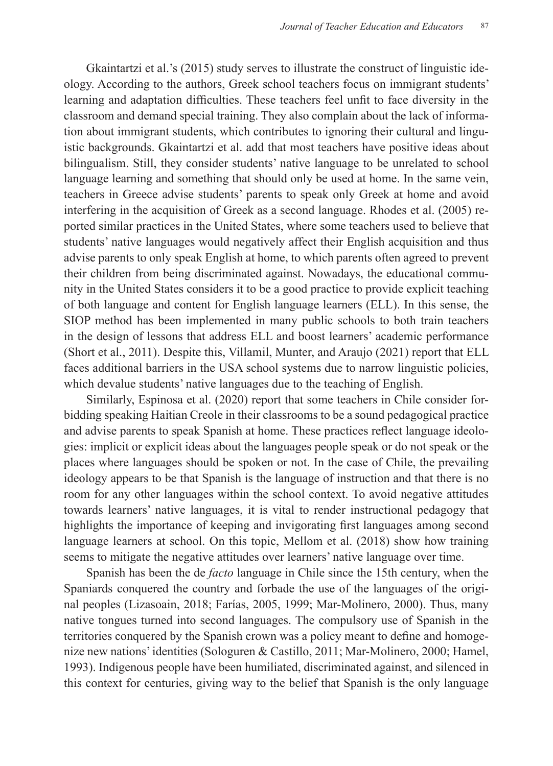Gkaintartzi et al.'s (2015) study serves to illustrate the construct of linguistic ideology. According to the authors, Greek school teachers focus on immigrant students' learning and adaptation difficulties. These teachers feel unfit to face diversity in the classroom and demand special training. They also complain about the lack of information about immigrant students, which contributes to ignoring their cultural and linguistic backgrounds. Gkaintartzi et al. add that most teachers have positive ideas about bilingualism. Still, they consider students' native language to be unrelated to school language learning and something that should only be used at home. In the same vein, teachers in Greece advise students' parents to speak only Greek at home and avoid interfering in the acquisition of Greek as a second language. Rhodes et al. (2005) reported similar practices in the United States, where some teachers used to believe that students' native languages would negatively affect their English acquisition and thus advise parents to only speak English at home, to which parents often agreed to prevent their children from being discriminated against. Nowadays, the educational community in the United States considers it to be a good practice to provide explicit teaching of both language and content for English language learners (ELL). In this sense, the SIOP method has been implemented in many public schools to both train teachers in the design of lessons that address ELL and boost learners' academic performance (Short et al., 2011). Despite this, Villamil, Munter, and Araujo (2021) report that ELL faces additional barriers in the USA school systems due to narrow linguistic policies, which devalue students' native languages due to the teaching of English.

Similarly, Espinosa et al. (2020) report that some teachers in Chile consider forbidding speaking Haitian Creole in their classrooms to be a sound pedagogical practice and advise parents to speak Spanish at home. These practices reflect language ideologies: implicit or explicit ideas about the languages people speak or do not speak or the places where languages should be spoken or not. In the case of Chile, the prevailing ideology appears to be that Spanish is the language of instruction and that there is no room for any other languages within the school context. To avoid negative attitudes towards learners' native languages, it is vital to render instructional pedagogy that highlights the importance of keeping and invigorating first languages among second language learners at school. On this topic, Mellom et al. (2018) show how training seems to mitigate the negative attitudes over learners' native language over time.

Spanish has been the de *facto* language in Chile since the 15th century, when the Spaniards conquered the country and forbade the use of the languages of the original peoples (Lizasoain, 2018; Farías, 2005, 1999; Mar-Molinero, 2000). Thus, many native tongues turned into second languages. The compulsory use of Spanish in the territories conquered by the Spanish crown was a policy meant to define and homogenize new nations' identities (Sologuren & Castillo, 2011; Mar-Molinero, 2000; Hamel, 1993). Indigenous people have been humiliated, discriminated against, and silenced in this context for centuries, giving way to the belief that Spanish is the only language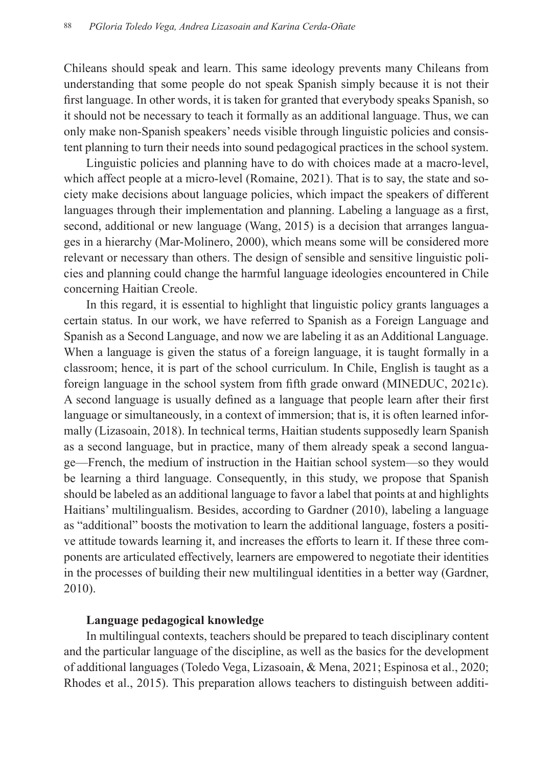Chileans should speak and learn. This same ideology prevents many Chileans from understanding that some people do not speak Spanish simply because it is not their first language. In other words, it is taken for granted that everybody speaks Spanish, so it should not be necessary to teach it formally as an additional language. Thus, we can only make non-Spanish speakers' needs visible through linguistic policies and consistent planning to turn their needs into sound pedagogical practices in the school system.

Linguistic policies and planning have to do with choices made at a macro-level, which affect people at a micro-level (Romaine, 2021). That is to say, the state and society make decisions about language policies, which impact the speakers of different languages through their implementation and planning. Labeling a language as a first, second, additional or new language (Wang, 2015) is a decision that arranges languages in a hierarchy (Mar-Molinero, 2000), which means some will be considered more relevant or necessary than others. The design of sensible and sensitive linguistic policies and planning could change the harmful language ideologies encountered in Chile concerning Haitian Creole.

In this regard, it is essential to highlight that linguistic policy grants languages a certain status. In our work, we have referred to Spanish as a Foreign Language and Spanish as a Second Language, and now we are labeling it as an Additional Language. When a language is given the status of a foreign language, it is taught formally in a classroom; hence, it is part of the school curriculum. In Chile, English is taught as a foreign language in the school system from fifth grade onward (MINEDUC, 2021c). A second language is usually defined as a language that people learn after their first language or simultaneously, in a context of immersion; that is, it is often learned informally (Lizasoain, 2018). In technical terms, Haitian students supposedly learn Spanish as a second language, but in practice, many of them already speak a second language—French, the medium of instruction in the Haitian school system—so they would be learning a third language. Consequently, in this study, we propose that Spanish should be labeled as an additional language to favor a label that points at and highlights Haitians' multilingualism. Besides, according to Gardner (2010), labeling a language as "additional" boosts the motivation to learn the additional language, fosters a positive attitude towards learning it, and increases the efforts to learn it. If these three components are articulated effectively, learners are empowered to negotiate their identities in the processes of building their new multilingual identities in a better way (Gardner, 2010).

### **Language pedagogical knowledge**

In multilingual contexts, teachers should be prepared to teach disciplinary content and the particular language of the discipline, as well as the basics for the development of additional languages (Toledo Vega, Lizasoain, & Mena, 2021; Espinosa et al., 2020; Rhodes et al., 2015). This preparation allows teachers to distinguish between additi-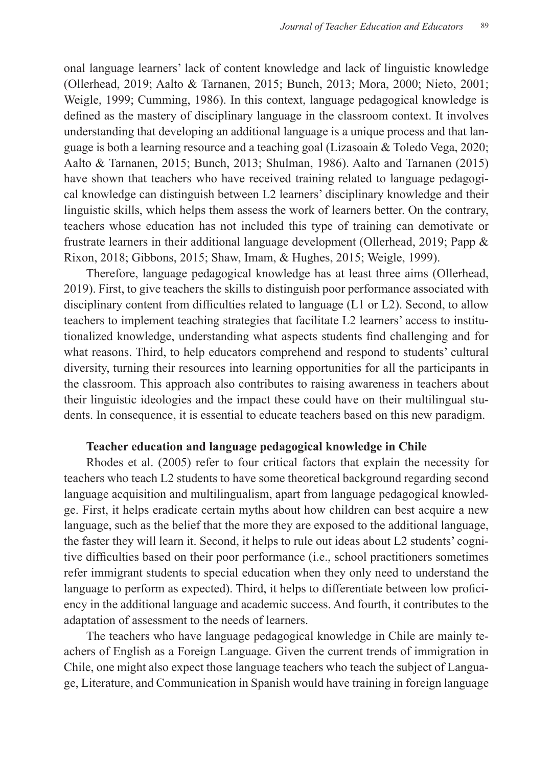onal language learners' lack of content knowledge and lack of linguistic knowledge (Ollerhead, 2019; Aalto & Tarnanen, 2015; Bunch, 2013; Mora, 2000; Nieto, 2001; Weigle, 1999; Cumming, 1986). In this context, language pedagogical knowledge is defined as the mastery of disciplinary language in the classroom context. It involves understanding that developing an additional language is a unique process and that language is both a learning resource and a teaching goal (Lizasoain & Toledo Vega, 2020; Aalto & Tarnanen, 2015; Bunch, 2013; Shulman, 1986). Aalto and Tarnanen (2015) have shown that teachers who have received training related to language pedagogical knowledge can distinguish between L2 learners' disciplinary knowledge and their linguistic skills, which helps them assess the work of learners better. On the contrary, teachers whose education has not included this type of training can demotivate or frustrate learners in their additional language development (Ollerhead, 2019; Papp & Rixon, 2018; Gibbons, 2015; Shaw, Imam, & Hughes, 2015; Weigle, 1999).

Therefore, language pedagogical knowledge has at least three aims (Ollerhead, 2019). First, to give teachers the skills to distinguish poor performance associated with disciplinary content from difficulties related to language (L1 or L2). Second, to allow teachers to implement teaching strategies that facilitate L2 learners' access to institutionalized knowledge, understanding what aspects students find challenging and for what reasons. Third, to help educators comprehend and respond to students' cultural diversity, turning their resources into learning opportunities for all the participants in the classroom. This approach also contributes to raising awareness in teachers about their linguistic ideologies and the impact these could have on their multilingual students. In consequence, it is essential to educate teachers based on this new paradigm.

#### **Teacher education and language pedagogical knowledge in Chile**

Rhodes et al. (2005) refer to four critical factors that explain the necessity for teachers who teach L2 students to have some theoretical background regarding second language acquisition and multilingualism, apart from language pedagogical knowledge. First, it helps eradicate certain myths about how children can best acquire a new language, such as the belief that the more they are exposed to the additional language, the faster they will learn it. Second, it helps to rule out ideas about L2 students' cognitive difficulties based on their poor performance (i.e., school practitioners sometimes refer immigrant students to special education when they only need to understand the language to perform as expected). Third, it helps to differentiate between low proficiency in the additional language and academic success. And fourth, it contributes to the adaptation of assessment to the needs of learners.

The teachers who have language pedagogical knowledge in Chile are mainly teachers of English as a Foreign Language. Given the current trends of immigration in Chile, one might also expect those language teachers who teach the subject of Language, Literature, and Communication in Spanish would have training in foreign language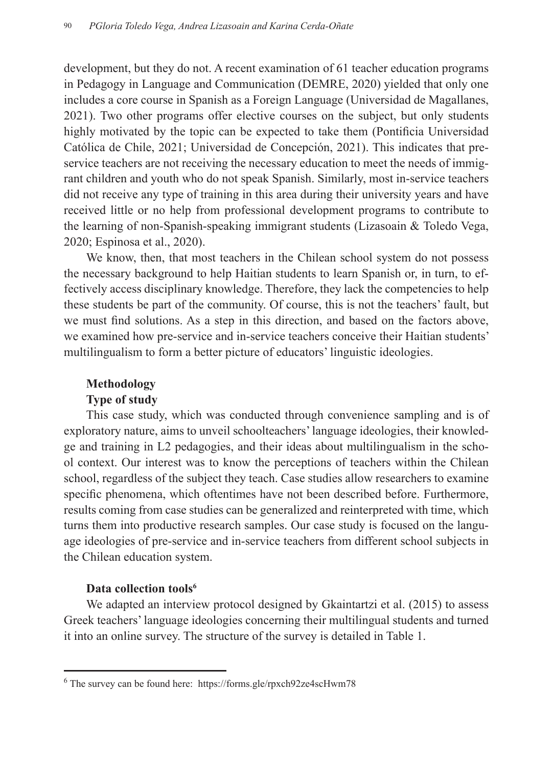development, but they do not. A recent examination of 61 teacher education programs in Pedagogy in Language and Communication (DEMRE, 2020) yielded that only one includes a core course in Spanish as a Foreign Language (Universidad de Magallanes, 2021). Two other programs offer elective courses on the subject, but only students highly motivated by the topic can be expected to take them (Pontificia Universidad Católica de Chile, 2021; Universidad de Concepción, 2021). This indicates that preservice teachers are not receiving the necessary education to meet the needs of immigrant children and youth who do not speak Spanish. Similarly, most in-service teachers did not receive any type of training in this area during their university years and have received little or no help from professional development programs to contribute to the learning of non-Spanish-speaking immigrant students (Lizasoain & Toledo Vega, 2020; Espinosa et al., 2020).

We know, then, that most teachers in the Chilean school system do not possess the necessary background to help Haitian students to learn Spanish or, in turn, to effectively access disciplinary knowledge. Therefore, they lack the competencies to help these students be part of the community. Of course, this is not the teachers' fault, but we must find solutions. As a step in this direction, and based on the factors above, we examined how pre-service and in-service teachers conceive their Haitian students' multilingualism to form a better picture of educators' linguistic ideologies.

## **Methodology**

### **Type of study**

This case study, which was conducted through convenience sampling and is of exploratory nature, aims to unveil schoolteachers' language ideologies, their knowledge and training in L2 pedagogies, and their ideas about multilingualism in the school context. Our interest was to know the perceptions of teachers within the Chilean school, regardless of the subject they teach. Case studies allow researchers to examine specific phenomena, which oftentimes have not been described before. Furthermore, results coming from case studies can be generalized and reinterpreted with time, which turns them into productive research samples. Our case study is focused on the language ideologies of pre-service and in-service teachers from different school subjects in the Chilean education system.

### Data collection tools<sup>6</sup>

We adapted an interview protocol designed by Gkaintartzi et al. (2015) to assess Greek teachers' language ideologies concerning their multilingual students and turned it into an online survey. The structure of the survey is detailed in Table 1.

<sup>6</sup> The survey can be found here: https://forms.gle/rpxch92ze4scHwm78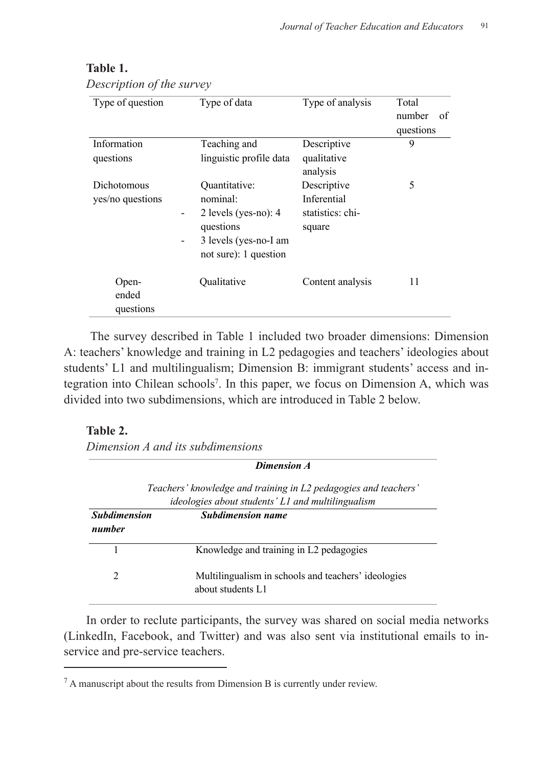| Type of question                | Type of data                                                                                                                                                                   | Type of analysis                                         | Total<br>number<br>of<br>questions |
|---------------------------------|--------------------------------------------------------------------------------------------------------------------------------------------------------------------------------|----------------------------------------------------------|------------------------------------|
| Information<br>questions        | Teaching and<br>linguistic profile data                                                                                                                                        | Descriptive<br>qualitative<br>analysis                   | 9                                  |
| Dichotomous<br>yes/no questions | Quantitative:<br>nominal:<br>2 levels (yes-no): $4$<br>$\overline{\phantom{0}}$<br>questions<br>3 levels (yes-no-I am<br>$\qquad \qquad \blacksquare$<br>not sure): 1 question | Descriptive<br>Inferential<br>statistics: chi-<br>square | 5                                  |
| Open-<br>ended<br>questions     | Oualitative                                                                                                                                                                    | Content analysis                                         | 11                                 |

# **Table 1.** Table 1.

*Description of the survey Description of the survey*

The survey described in Table 1 included two broader dimensions: Dimension A: teachers' knowledge and training in L2 pedagogies and teachers' ideologies about students' L1 and multilingualism; Dimension B: immigrant students' access and in-*Dimension A and its subdimensions*  tegration into Chilean schools<sup>7</sup> . In this paper, we focus on Dimension A, which was *Dimension A* divided into two subdimensions, which are introduced in Table 2 below.  $\alpha$  and munimigualism, Dimension D. minigram students nto C

# Table 2.

*Dimension A and its subdimensions Dimension A and its subdimensions* 

| Dimension A                                                                                                                 |                                                                          |  |  |  |
|-----------------------------------------------------------------------------------------------------------------------------|--------------------------------------------------------------------------|--|--|--|
| Teachers' knowledge and training in L2 pedagogies and teachers'<br><i>ideologies about students' L1 and multilingualism</i> |                                                                          |  |  |  |
| <b>Subdimension</b><br>number                                                                                               | <b>Subdimension name</b>                                                 |  |  |  |
|                                                                                                                             | Knowledge and training in L2 pedagogies                                  |  |  |  |
| $\mathfrak{D}$                                                                                                              | Multilingualism in schools and teachers' ideologies<br>about students L1 |  |  |  |

In order to reclute participants, the survey was shared on social media networks (LinkedIn, Facebook, and Twitter) and was also sent via institutional emails to inservice and pre-service teachers.

 $<sup>7</sup>$  A manuscript about the results from Dimension B is currently under review.</sup>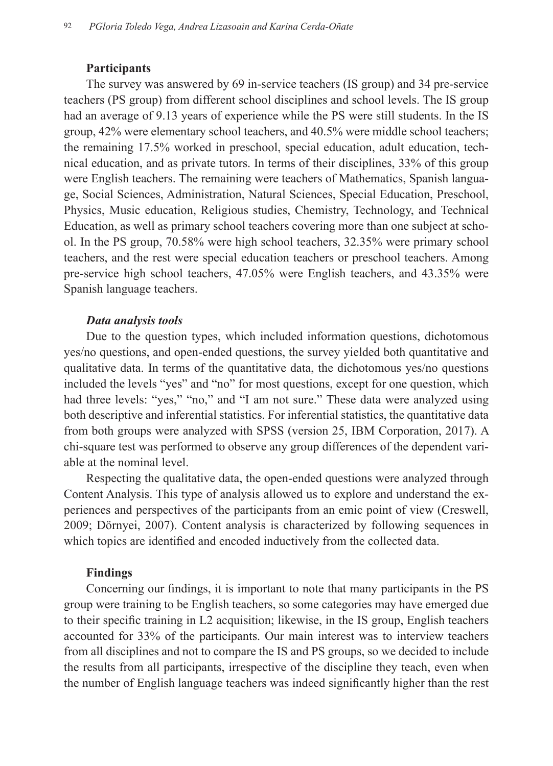### **Participants**

The survey was answered by 69 in-service teachers (IS group) and 34 pre-service teachers (PS group) from different school disciplines and school levels. The IS group had an average of 9.13 years of experience while the PS were still students. In the IS group, 42% were elementary school teachers, and 40.5% were middle school teachers; the remaining 17.5% worked in preschool, special education, adult education, technical education, and as private tutors. In terms of their disciplines, 33% of this group were English teachers. The remaining were teachers of Mathematics, Spanish language, Social Sciences, Administration, Natural Sciences, Special Education, Preschool, Physics, Music education, Religious studies, Chemistry, Technology, and Technical Education, as well as primary school teachers covering more than one subject at school. In the PS group, 70.58% were high school teachers, 32.35% were primary school teachers, and the rest were special education teachers or preschool teachers. Among pre-service high school teachers, 47.05% were English teachers, and 43.35% were Spanish language teachers.

### *Data analysis tools*

Due to the question types, which included information questions, dichotomous yes/no questions, and open-ended questions, the survey yielded both quantitative and qualitative data. In terms of the quantitative data, the dichotomous yes/no questions included the levels "yes" and "no" for most questions, except for one question, which had three levels: "yes," "no," and "I am not sure." These data were analyzed using both descriptive and inferential statistics. For inferential statistics, the quantitative data from both groups were analyzed with SPSS (version 25, IBM Corporation, 2017). A chi-square test was performed to observe any group differences of the dependent variable at the nominal level.

Respecting the qualitative data, the open-ended questions were analyzed through Content Analysis. This type of analysis allowed us to explore and understand the experiences and perspectives of the participants from an emic point of view (Creswell, 2009; Dörnyei, 2007). Content analysis is characterized by following sequences in which topics are identified and encoded inductively from the collected data.

### **Findings**

Concerning our findings, it is important to note that many participants in the PS group were training to be English teachers, so some categories may have emerged due to their specific training in L2 acquisition; likewise, in the IS group, English teachers accounted for 33% of the participants. Our main interest was to interview teachers from all disciplines and not to compare the IS and PS groups, so we decided to include the results from all participants, irrespective of the discipline they teach, even when the number of English language teachers was indeed significantly higher than the rest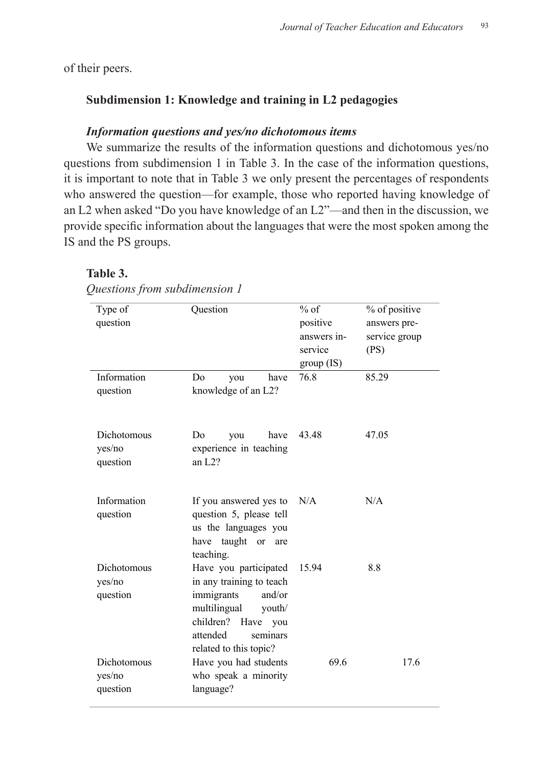of their peers.

## **Subdimension 1: Knowledge and training in L2 pedagogies**

### *Information questions and yes/no dichotomous items*

We summarize the results of the information questions and dichotomous yes/no questions from subdimension 1 in Table 3. In the case of the information questions, it is important to note that in Table 3 we only present the percentages of respondents who answered the question—for example, those who reported having knowledge of an L2 when asked "Do you have knowledge of an L2"—and then in the discussion, we provide specific information about the languages that were the most spoken among the IS and the PS groups.

# **Table 3.** Table 3.

| Type of            | Question                  |                    | $%$ of      | % of positive |
|--------------------|---------------------------|--------------------|-------------|---------------|
| question           |                           |                    | positive    | answers pre-  |
|                    |                           |                    | answers in- | service group |
|                    |                           |                    | service     | (PS)          |
|                    |                           |                    | group (IS)  |               |
| Information        | D <sub>0</sub><br>you     | have               | 76.8        | 85.29         |
| question           | knowledge of an L2?       |                    |             |               |
|                    |                           |                    |             |               |
| Dichotomous        | D <sub>0</sub><br>you     | have               | 43.48       | 47.05         |
| yes/no             | experience in teaching    |                    |             |               |
| question           | an $L2?$                  |                    |             |               |
|                    |                           |                    |             |               |
| Information        | If you answered yes to    |                    | N/A         | N/A           |
| question           | question 5, please tell   |                    |             |               |
|                    | us the languages you      |                    |             |               |
|                    | have taught or            | are                |             |               |
| Dichotomous        | teaching.                 |                    |             | 8.8           |
|                    | Have you participated     |                    | 15.94       |               |
| yes/no             | in any training to teach  | and/or             |             |               |
| question           | immigrants                |                    |             |               |
|                    | multilingual<br>children? | youth/<br>Have you |             |               |
|                    | attended                  | seminars           |             |               |
|                    |                           |                    |             |               |
| <b>Dichotomous</b> | related to this topic?    |                    | 69.6        | 17.6          |
|                    | Have you had students     |                    |             |               |
| yes/no             | who speak a minority      |                    |             |               |
| question           | language?                 |                    |             |               |

*Questions from subdimension 1 Questions from subdimension 1*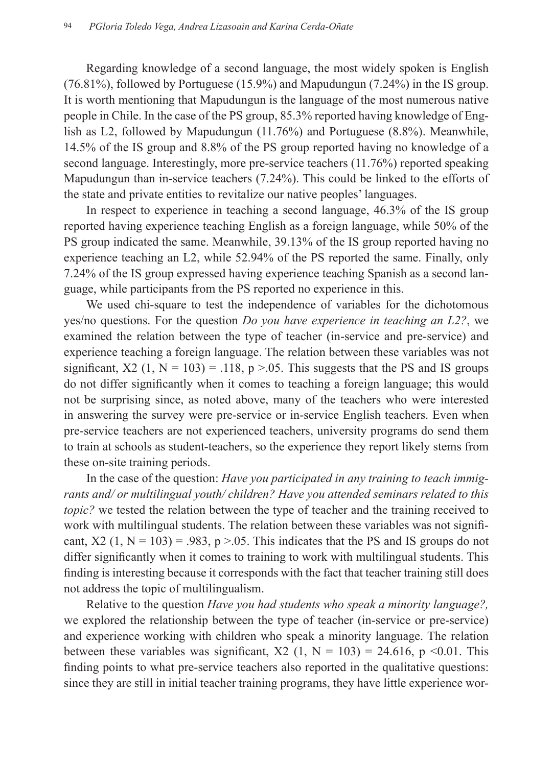Regarding knowledge of a second language, the most widely spoken is English (76.81%), followed by Portuguese (15.9%) and Mapudungun (7.24%) in the IS group. It is worth mentioning that Mapudungun is the language of the most numerous native people in Chile. In the case of the PS group, 85.3% reported having knowledge of English as L2, followed by Mapudungun (11.76%) and Portuguese (8.8%). Meanwhile, 14.5% of the IS group and 8.8% of the PS group reported having no knowledge of a second language. Interestingly, more pre-service teachers (11.76%) reported speaking Mapudungun than in-service teachers (7.24%). This could be linked to the efforts of the state and private entities to revitalize our native peoples' languages.

In respect to experience in teaching a second language, 46.3% of the IS group reported having experience teaching English as a foreign language, while 50% of the PS group indicated the same. Meanwhile, 39.13% of the IS group reported having no experience teaching an L2, while 52.94% of the PS reported the same. Finally, only 7.24% of the IS group expressed having experience teaching Spanish as a second language, while participants from the PS reported no experience in this.

We used chi-square to test the independence of variables for the dichotomous yes/no questions. For the question *Do you have experience in teaching an L2?*, we examined the relation between the type of teacher (in-service and pre-service) and experience teaching a foreign language. The relation between these variables was not significant,  $X2$  (1,  $N = 103$ ) = .118, p > 0.05. This suggests that the PS and IS groups do not differ significantly when it comes to teaching a foreign language; this would not be surprising since, as noted above, many of the teachers who were interested in answering the survey were pre-service or in-service English teachers. Even when pre-service teachers are not experienced teachers, university programs do send them to train at schools as student-teachers, so the experience they report likely stems from these on-site training periods.

In the case of the question: *Have you participated in any training to teach immigrants and/ or multilingual youth/ children? Have you attended seminars related to this topic?* we tested the relation between the type of teacher and the training received to work with multilingual students. The relation between these variables was not significant,  $X2$  (1,  $N = 103$ ) = .983, p > .05. This indicates that the PS and IS groups do not differ significantly when it comes to training to work with multilingual students. This finding is interesting because it corresponds with the fact that teacher training still does not address the topic of multilingualism.

Relative to the question *Have you had students who speak a minority language?,*  we explored the relationship between the type of teacher (in-service or pre-service) and experience working with children who speak a minority language. The relation between these variables was significant,  $X2$  (1, N = 103) = 24.616, p <0.01. This finding points to what pre-service teachers also reported in the qualitative questions: since they are still in initial teacher training programs, they have little experience wor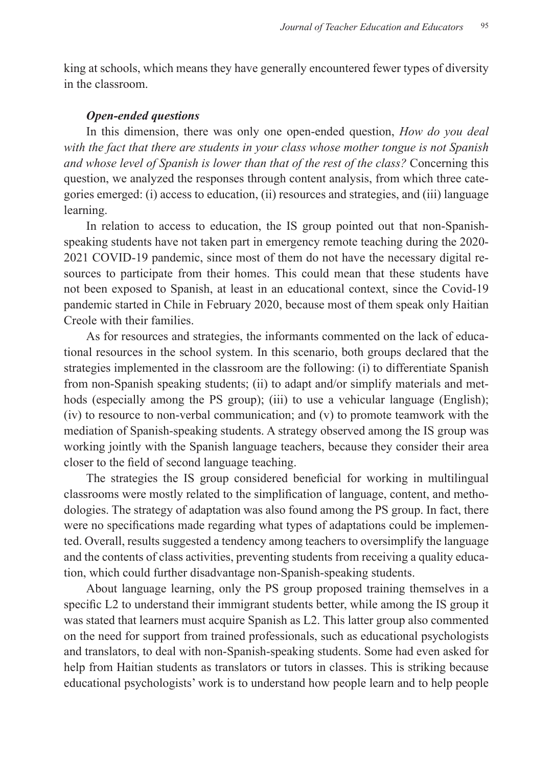king at schools, which means they have generally encountered fewer types of diversity in the classroom.

### *Open-ended questions*

In this dimension, there was only one open-ended question, *How do you deal with the fact that there are students in your class whose mother tongue is not Spanish and whose level of Spanish is lower than that of the rest of the class?* Concerning this question, we analyzed the responses through content analysis, from which three categories emerged: (i) access to education, (ii) resources and strategies, and (iii) language learning.

In relation to access to education, the IS group pointed out that non-Spanishspeaking students have not taken part in emergency remote teaching during the 2020- 2021 COVID-19 pandemic, since most of them do not have the necessary digital resources to participate from their homes. This could mean that these students have not been exposed to Spanish, at least in an educational context, since the Covid-19 pandemic started in Chile in February 2020, because most of them speak only Haitian Creole with their families.

As for resources and strategies, the informants commented on the lack of educational resources in the school system. In this scenario, both groups declared that the strategies implemented in the classroom are the following: (i) to differentiate Spanish from non-Spanish speaking students; (ii) to adapt and/or simplify materials and methods (especially among the PS group); (iii) to use a vehicular language (English); (iv) to resource to non-verbal communication; and (v) to promote teamwork with the mediation of Spanish-speaking students. A strategy observed among the IS group was working jointly with the Spanish language teachers, because they consider their area closer to the field of second language teaching.

The strategies the IS group considered beneficial for working in multilingual classrooms were mostly related to the simplification of language, content, and methodologies. The strategy of adaptation was also found among the PS group. In fact, there were no specifications made regarding what types of adaptations could be implemented. Overall, results suggested a tendency among teachers to oversimplify the language and the contents of class activities, preventing students from receiving a quality education, which could further disadvantage non-Spanish-speaking students.

About language learning, only the PS group proposed training themselves in a specific L2 to understand their immigrant students better, while among the IS group it was stated that learners must acquire Spanish as L2. This latter group also commented on the need for support from trained professionals, such as educational psychologists and translators, to deal with non-Spanish-speaking students. Some had even asked for help from Haitian students as translators or tutors in classes. This is striking because educational psychologists' work is to understand how people learn and to help people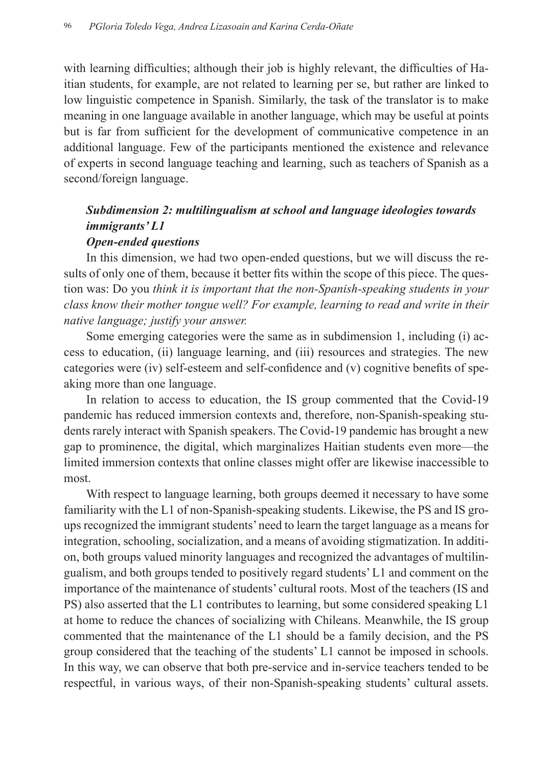with learning difficulties; although their job is highly relevant, the difficulties of Haitian students, for example, are not related to learning per se, but rather are linked to low linguistic competence in Spanish. Similarly, the task of the translator is to make meaning in one language available in another language, which may be useful at points but is far from sufficient for the development of communicative competence in an additional language. Few of the participants mentioned the existence and relevance of experts in second language teaching and learning, such as teachers of Spanish as a second/foreign language.

# *Subdimension 2: multilingualism at school and language ideologies towards immigrants' L1*

### *Open-ended questions*

In this dimension, we had two open-ended questions, but we will discuss the results of only one of them, because it better fits within the scope of this piece. The question was: Do you *think it is important that the non-Spanish-speaking students in your class know their mother tongue well? For example, learning to read and write in their native language; justify your answer.* 

Some emerging categories were the same as in subdimension 1, including (i) access to education, (ii) language learning, and (iii) resources and strategies. The new categories were (iv) self-esteem and self-confidence and (v) cognitive benefits of speaking more than one language.

In relation to access to education, the IS group commented that the Covid-19 pandemic has reduced immersion contexts and, therefore, non-Spanish-speaking students rarely interact with Spanish speakers. The Covid-19 pandemic has brought a new gap to prominence, the digital, which marginalizes Haitian students even more—the limited immersion contexts that online classes might offer are likewise inaccessible to most.

With respect to language learning, both groups deemed it necessary to have some familiarity with the L1 of non-Spanish-speaking students. Likewise, the PS and IS groups recognized the immigrant students' need to learn the target language as a means for integration, schooling, socialization, and a means of avoiding stigmatization. In addition, both groups valued minority languages and recognized the advantages of multilingualism, and both groups tended to positively regard students' L1 and comment on the importance of the maintenance of students' cultural roots. Most of the teachers (IS and PS) also asserted that the L1 contributes to learning, but some considered speaking L1 at home to reduce the chances of socializing with Chileans. Meanwhile, the IS group commented that the maintenance of the L1 should be a family decision, and the PS group considered that the teaching of the students' L1 cannot be imposed in schools. In this way, we can observe that both pre-service and in-service teachers tended to be respectful, in various ways, of their non-Spanish-speaking students' cultural assets.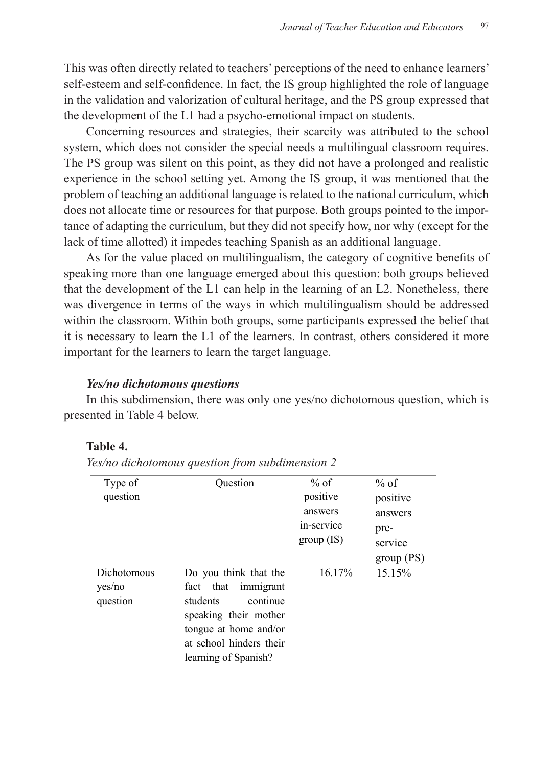This was often directly related to teachers' perceptions of the need to enhance learners' self-esteem and self-confidence. In fact, the IS group highlighted the role of language in the validation and valorization of cultural heritage, and the PS group expressed that the development of the L1 had a psycho-emotional impact on students.

Concerning resources and strategies, their scarcity was attributed to the school system, which does not consider the special needs a multilingual classroom requires. The PS group was silent on this point, as they did not have a prolonged and realistic experience in the school setting yet. Among the IS group, it was mentioned that the problem of teaching an additional language is related to the national curriculum, which does not allocate time or resources for that purpose. Both groups pointed to the importance of adapting the curriculum, but they did not specify how, nor why (except for the lack of time allotted) it impedes teaching Spanish as an additional language.

As for the value placed on multilingualism, the category of cognitive benefits of speaking more than one language emerged about this question: both groups believed that the development of the L1 can help in the learning of an L2. Nonetheless, there was divergence in terms of the ways in which multilingualism should be addressed within the classroom. Within both groups, some participants expressed the belief that it is necessary to learn the L1 of the learners. In contrast, others considered it more important for the learners to learn the target language.

### *Yes/no dichotomous questions*

In this subdimension, there was only one yes/no dichotomous question, which is presented in Table 4 below.

# **Table 4.** Table 4.

*Yes/no dichotomous question from subdimension 2 Yes/no dichotomous question from subdimension 2*

| Type of<br>question               | Ouestion                                                                                                                                                                        | $%$ of<br>positive<br>answers<br>in-service<br>group (IS) | % of<br>positive<br>answers<br>pre-<br>service<br>group (PS) |
|-----------------------------------|---------------------------------------------------------------------------------------------------------------------------------------------------------------------------------|-----------------------------------------------------------|--------------------------------------------------------------|
| Dichotomous<br>yes/no<br>question | Do you think that the<br>that<br>immigrant<br>fact<br>students<br>continue<br>speaking their mother<br>tongue at home and/or<br>at school hinders their<br>learning of Spanish? | 16.17%                                                    | 15.15%                                                       |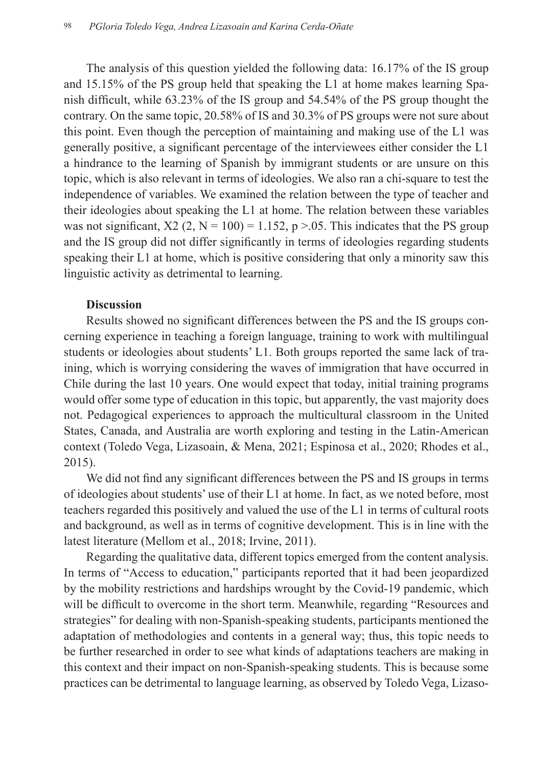The analysis of this question yielded the following data: 16.17% of the IS group and 15.15% of the PS group held that speaking the L1 at home makes learning Spanish difficult, while 63.23% of the IS group and 54.54% of the PS group thought the contrary. On the same topic, 20.58% of IS and 30.3% of PS groups were not sure about this point. Even though the perception of maintaining and making use of the L1 was generally positive, a significant percentage of the interviewees either consider the L1 a hindrance to the learning of Spanish by immigrant students or are unsure on this topic, which is also relevant in terms of ideologies. We also ran a chi-square to test the independence of variables. We examined the relation between the type of teacher and their ideologies about speaking the L1 at home. The relation between these variables was not significant,  $X2$  (2, N = 100) = 1.152, p > 0.05. This indicates that the PS group and the IS group did not differ significantly in terms of ideologies regarding students speaking their L1 at home, which is positive considering that only a minority saw this linguistic activity as detrimental to learning.

### **Discussion**

Results showed no significant differences between the PS and the IS groups concerning experience in teaching a foreign language, training to work with multilingual students or ideologies about students' L1. Both groups reported the same lack of training, which is worrying considering the waves of immigration that have occurred in Chile during the last 10 years. One would expect that today, initial training programs would offer some type of education in this topic, but apparently, the vast majority does not. Pedagogical experiences to approach the multicultural classroom in the United States, Canada, and Australia are worth exploring and testing in the Latin-American context (Toledo Vega, Lizasoain, & Mena, 2021; Espinosa et al., 2020; Rhodes et al., 2015).

We did not find any significant differences between the PS and IS groups in terms of ideologies about students' use of their L1 at home. In fact, as we noted before, most teachers regarded this positively and valued the use of the L1 in terms of cultural roots and background, as well as in terms of cognitive development. This is in line with the latest literature (Mellom et al., 2018; Irvine, 2011).

Regarding the qualitative data, different topics emerged from the content analysis. In terms of "Access to education," participants reported that it had been jeopardized by the mobility restrictions and hardships wrought by the Covid-19 pandemic, which will be difficult to overcome in the short term. Meanwhile, regarding "Resources and strategies" for dealing with non-Spanish-speaking students, participants mentioned the adaptation of methodologies and contents in a general way; thus, this topic needs to be further researched in order to see what kinds of adaptations teachers are making in this context and their impact on non-Spanish-speaking students. This is because some practices can be detrimental to language learning, as observed by Toledo Vega, Lizaso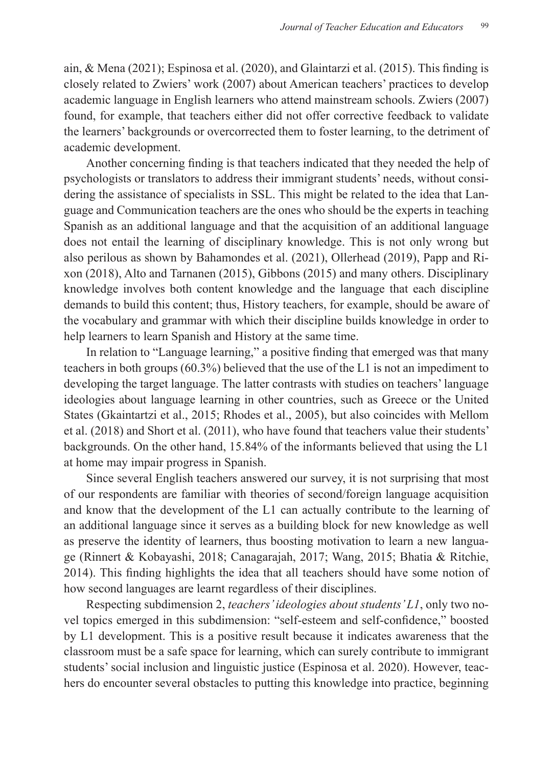ain, & Mena (2021); Espinosa et al. (2020), and Glaintarzi et al. (2015). This finding is closely related to Zwiers' work (2007) about American teachers' practices to develop academic language in English learners who attend mainstream schools. Zwiers (2007) found, for example, that teachers either did not offer corrective feedback to validate the learners' backgrounds or overcorrected them to foster learning, to the detriment of academic development.

Another concerning finding is that teachers indicated that they needed the help of psychologists or translators to address their immigrant students' needs, without considering the assistance of specialists in SSL. This might be related to the idea that Language and Communication teachers are the ones who should be the experts in teaching Spanish as an additional language and that the acquisition of an additional language does not entail the learning of disciplinary knowledge. This is not only wrong but also perilous as shown by Bahamondes et al. (2021), Ollerhead (2019), Papp and Rixon (2018), Alto and Tarnanen (2015), Gibbons (2015) and many others. Disciplinary knowledge involves both content knowledge and the language that each discipline demands to build this content; thus, History teachers, for example, should be aware of the vocabulary and grammar with which their discipline builds knowledge in order to help learners to learn Spanish and History at the same time.

In relation to "Language learning," a positive finding that emerged was that many teachers in both groups (60.3%) believed that the use of the L1 is not an impediment to developing the target language. The latter contrasts with studies on teachers' language ideologies about language learning in other countries, such as Greece or the United States (Gkaintartzi et al., 2015; Rhodes et al., 2005), but also coincides with Mellom et al. (2018) and Short et al. (2011), who have found that teachers value their students' backgrounds. On the other hand, 15.84% of the informants believed that using the L1 at home may impair progress in Spanish.

Since several English teachers answered our survey, it is not surprising that most of our respondents are familiar with theories of second/foreign language acquisition and know that the development of the L1 can actually contribute to the learning of an additional language since it serves as a building block for new knowledge as well as preserve the identity of learners, thus boosting motivation to learn a new language (Rinnert & Kobayashi, 2018; Canagarajah, 2017; Wang, 2015; Bhatia & Ritchie, 2014). This finding highlights the idea that all teachers should have some notion of how second languages are learnt regardless of their disciplines.

Respecting subdimension 2, *teachers' ideologies about students' L1*, only two novel topics emerged in this subdimension: "self-esteem and self-confidence," boosted by L1 development. This is a positive result because it indicates awareness that the classroom must be a safe space for learning, which can surely contribute to immigrant students' social inclusion and linguistic justice (Espinosa et al. 2020). However, teachers do encounter several obstacles to putting this knowledge into practice, beginning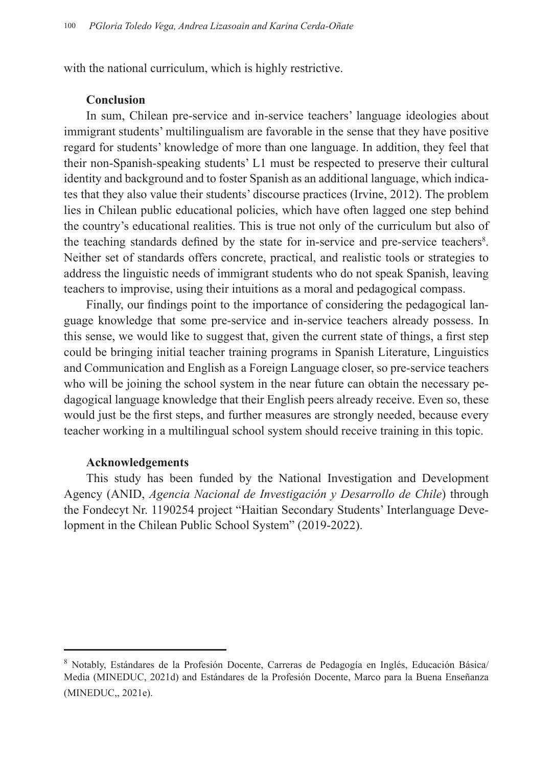with the national curriculum, which is highly restrictive.

### **Conclusion**

In sum, Chilean pre-service and in-service teachers' language ideologies about immigrant students' multilingualism are favorable in the sense that they have positive regard for students' knowledge of more than one language. In addition, they feel that their non-Spanish-speaking students' L1 must be respected to preserve their cultural identity and background and to foster Spanish as an additional language, which indicates that they also value their students' discourse practices (Irvine, 2012). The problem lies in Chilean public educational policies, which have often lagged one step behind the country's educational realities. This is true not only of the curriculum but also of the teaching standards defined by the state for in-service and pre-service teachers<sup>8</sup>. Neither set of standards offers concrete, practical, and realistic tools or strategies to address the linguistic needs of immigrant students who do not speak Spanish, leaving teachers to improvise, using their intuitions as a moral and pedagogical compass.

Finally, our findings point to the importance of considering the pedagogical language knowledge that some pre-service and in-service teachers already possess. In this sense, we would like to suggest that, given the current state of things, a first step could be bringing initial teacher training programs in Spanish Literature, Linguistics and Communication and English as a Foreign Language closer, so pre-service teachers who will be joining the school system in the near future can obtain the necessary pedagogical language knowledge that their English peers already receive. Even so, these would just be the first steps, and further measures are strongly needed, because every teacher working in a multilingual school system should receive training in this topic.

#### **Acknowledgements**

This study has been funded by the National Investigation and Development Agency (ANID, *Agencia Nacional de Investigación y Desarrollo de Chile*) through the Fondecyt Nr. 1190254 project "Haitian Secondary Students' Interlanguage Development in the Chilean Public School System" (2019-2022).

<sup>&</sup>lt;sup>8</sup> Notably, Estándares de la Profesión Docente, Carreras de Pedagogía en Inglés, Educación Básica/ Media (MINEDUC, 2021d) and Estándares de la Profesión Docente, Marco para la Buena Enseñanza (MINEDUC,, 2021e).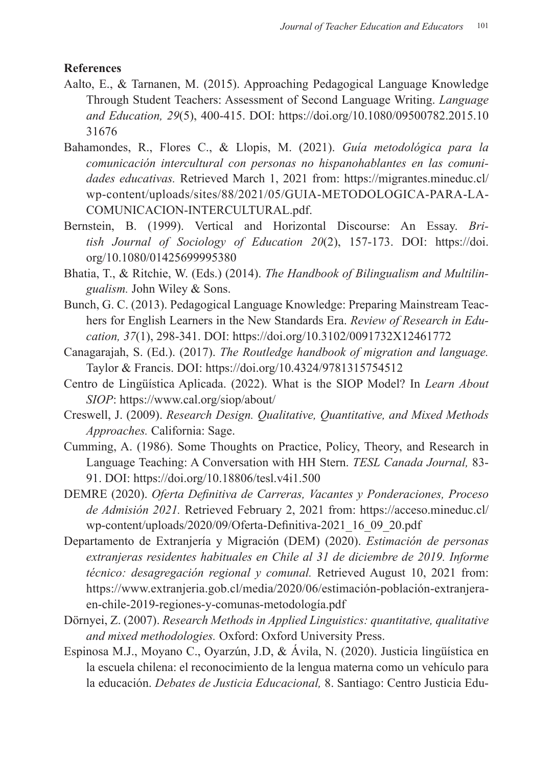### **References**

- Aalto, E., & Tarnanen, M. (2015). Approaching Pedagogical Language Knowledge Through Student Teachers: Assessment of Second Language Writing. *Language and Education, 29*(5), 400-415. DOI: https://doi.org/10.1080/09500782.2015.10 31676
- Bahamondes, R., Flores C., & Llopis, M. (2021). *Guía metodológica para la comunicación intercultural con personas no hispanohablantes en las comunidades educativas.* Retrieved March 1, 2021 from: https://migrantes.mineduc.cl/ wp-content/uploads/sites/88/2021/05/GUIA-METODOLOGICA-PARA-LA-COMUNICACION-INTERCULTURAL.pdf.
- Bernstein, B. (1999). Vertical and Horizontal Discourse: An Essay. *British Journal of Sociology of Education 20*(2), 157-173. DOI: https://doi. org/10.1080/01425699995380
- Bhatia, T., & Ritchie, W. (Eds.) (2014). *The Handbook of Bilingualism and Multilingualism.* John Wiley & Sons.
- Bunch, G. C. (2013). Pedagogical Language Knowledge: Preparing Mainstream Teachers for English Learners in the New Standards Era. *Review of Research in Education, 37*(1), 298-341. DOI: https://doi.org/10.3102/0091732X12461772
- Canagarajah, S. (Ed.). (2017). *The Routledge handbook of migration and language.*  Taylor & Francis. DOI: https://doi.org/10.4324/9781315754512
- Centro de Lingüística Aplicada. (2022). What is the SIOP Model? In *Learn About SIOP*: https://www.cal.org/siop/about/
- Creswell, J. (2009). *Research Design. Qualitative, Quantitative, and Mixed Methods Approaches.* California: Sage.
- Cumming, A. (1986). Some Thoughts on Practice, Policy, Theory, and Research in Language Teaching: A Conversation with HH Stern. *TESL Canada Journal,* 83- 91. DOI: https://doi.org/10.18806/tesl.v4i1.500
- DEMRE (2020). *Oferta Definitiva de Carreras, Vacantes y Ponderaciones, Proceso de Admisión 2021.* Retrieved February 2, 2021 from: https://acceso.mineduc.cl/ wp-content/uploads/2020/09/Oferta-Definitiva-2021\_16\_09\_20.pdf
- Departamento de Extranjería y Migración (DEM) (2020). *Estimación de personas extranjeras residentes habituales en Chile al 31 de diciembre de 2019. Informe técnico: desagregación regional y comunal.* Retrieved August 10, 2021 from: https://www.extranjeria.gob.cl/media/2020/06/estimación-población-extranjeraen-chile-2019-regiones-y-comunas-metodología.pdf
- Dörnyei, Z. (2007). *Research Methods in Applied Linguistics: quantitative, qualitative and mixed methodologies.* Oxford: Oxford University Press.
- Espinosa M.J., Moyano C., Oyarzún, J.D, & Ávila, N. (2020). Justicia lingüística en la escuela chilena: el reconocimiento de la lengua materna como un vehículo para la educación. *Debates de Justicia Educacional,* 8. Santiago: Centro Justicia Edu-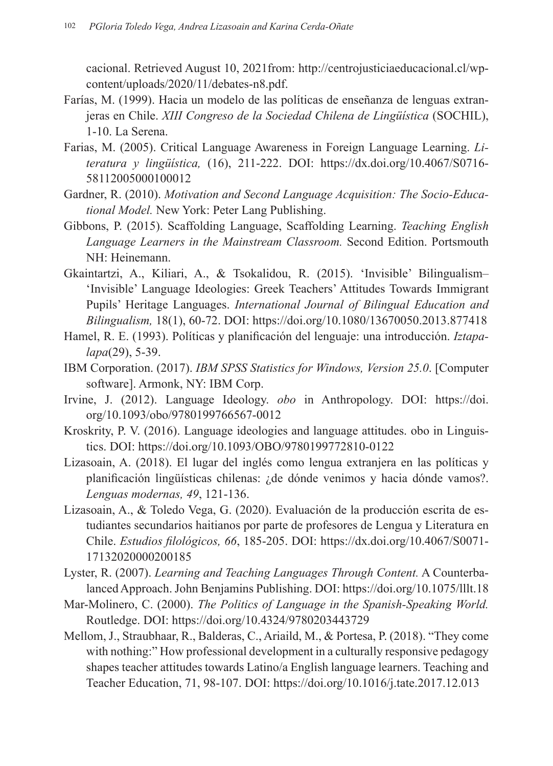cacional. Retrieved August 10, 2021from: http://centrojusticiaeducacional.cl/wpcontent/uploads/2020/11/debates-n8.pdf.

- Farías, M. (1999). Hacia un modelo de las políticas de enseñanza de lenguas extranjeras en Chile. *XIII Congreso de la Sociedad Chilena de Lingüística* (SOCHIL), 1-10. La Serena.
- Farias, M. (2005). Critical Language Awareness in Foreign Language Learning. *Literatura y lingüística,* (16), 211-222. DOI: https://dx.doi.org/10.4067/S0716- 58112005000100012
- Gardner, R. (2010). *Motivation and Second Language Acquisition: The Socio-Educational Model.* New York: Peter Lang Publishing.
- Gibbons, P. (2015). Scaffolding Language, Scaffolding Learning. *Teaching English Language Learners in the Mainstream Classroom.* Second Edition. Portsmouth NH: Heinemann.
- Gkaintartzi, A., Kiliari, A., & Tsokalidou, R. (2015). 'Invisible' Bilingualism– 'Invisible' Language Ideologies: Greek Teachers' Attitudes Towards Immigrant Pupils' Heritage Languages. *International Journal of Bilingual Education and Bilingualism,* 18(1), 60-72. DOI: https://doi.org/10.1080/13670050.2013.877418
- Hamel, R. E. (1993). Políticas y planificación del lenguaje: una introducción. *Iztapalapa*(29), 5-39.
- IBM Corporation. (2017). *IBM SPSS Statistics for Windows, Version 25.0*. [Computer software]. Armonk, NY: IBM Corp.
- Irvine, J. (2012). Language Ideology. *obo* in Anthropology. DOI: https://doi. org/10.1093/obo/9780199766567-0012
- Kroskrity, P. V. (2016). Language ideologies and language attitudes. obo in Linguistics. DOI: https://doi.org/10.1093/OBO/9780199772810-0122
- Lizasoain, A. (2018). El lugar del inglés como lengua extranjera en las políticas y planificación lingüísticas chilenas: ¿de dónde venimos y hacia dónde vamos?. *Lenguas modernas, 49*, 121-136.
- Lizasoain, A., & Toledo Vega, G. (2020). Evaluación de la producción escrita de estudiantes secundarios haitianos por parte de profesores de Lengua y Literatura en Chile. *Estudios filológicos, 66*, 185-205. DOI: https://dx.doi.org/10.4067/S0071- 17132020000200185
- Lyster, R. (2007). *Learning and Teaching Languages Through Content.* A Counterbalanced Approach. John Benjamins Publishing. DOI: https://doi.org/10.1075/lllt.18
- Mar-Molinero, C. (2000). *The Politics of Language in the Spanish-Speaking World.*  Routledge. DOI: https://doi.org/10.4324/9780203443729
- Mellom, J., Straubhaar, R., Balderas, C., Ariaild, M., & Portesa, P. (2018). "They come with nothing:" How professional development in a culturally responsive pedagogy shapes teacher attitudes towards Latino/a English language learners. Teaching and Teacher Education, 71, 98-107. DOI: https://doi.org/10.1016/j.tate.2017.12.013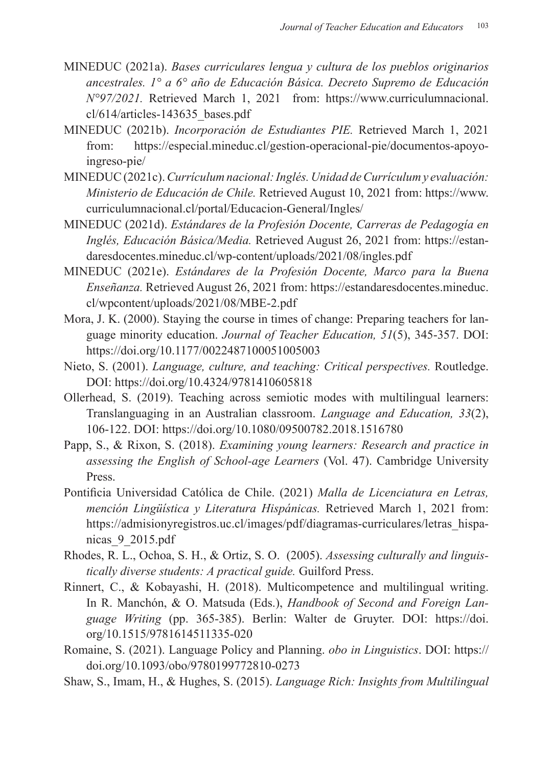- MINEDUC (2021a). *Bases curriculares lengua y cultura de los pueblos originarios ancestrales. 1° a 6° año de Educación Básica. Decreto Supremo de Educación N°97/2021.* Retrieved March 1, 2021 from: https://www.curriculumnacional. cl/614/articles-143635\_bases.pdf
- MINEDUC (2021b). *Incorporación de Estudiantes PIE.* Retrieved March 1, 2021 from: https://especial.mineduc.cl/gestion-operacional-pie/documentos-apoyoingreso-pie/
- MINEDUC (2021c). *Currículum nacional: Inglés. Unidad de Currículum y evaluación: Ministerio de Educación de Chile.* Retrieved August 10, 2021 from: https://www. curriculumnacional.cl/portal/Educacion-General/Ingles/
- MINEDUC (2021d). *Estándares de la Profesión Docente, Carreras de Pedagogía en Inglés, Educación Básica/Media.* Retrieved August 26, 2021 from: https://estandaresdocentes.mineduc.cl/wp-content/uploads/2021/08/ingles.pdf
- MINEDUC (2021e). *Estándares de la Profesión Docente, Marco para la Buena Enseñanza.* Retrieved August 26, 2021 from: https://estandaresdocentes.mineduc. cl/wpcontent/uploads/2021/08/MBE-2.pdf
- Mora, J. K. (2000). Staying the course in times of change: Preparing teachers for language minority education. *Journal of Teacher Education, 51*(5), 345-357. DOI: https://doi.org/10.1177/0022487100051005003
- Nieto, S. (2001). *Language, culture, and teaching: Critical perspectives.* Routledge. DOI: https://doi.org/10.4324/9781410605818
- Ollerhead, S. (2019). Teaching across semiotic modes with multilingual learners: Translanguaging in an Australian classroom. *Language and Education, 33*(2), 106-122. DOI: https://doi.org/10.1080/09500782.2018.1516780
- Papp, S., & Rixon, S. (2018). *Examining young learners: Research and practice in assessing the English of School-age Learners* (Vol. 47). Cambridge University Press.
- Pontificia Universidad Católica de Chile. (2021) *Malla de Licenciatura en Letras, mención Lingüística y Literatura Hispánicas.* Retrieved March 1, 2021 from: https://admisionyregistros.uc.cl/images/pdf/diagramas-curriculares/letras\_hispanicas\_9\_2015.pdf
- Rhodes, R. L., Ochoa, S. H., & Ortiz, S. O. (2005). *Assessing culturally and linguistically diverse students: A practical guide.* Guilford Press.
- Rinnert, C., & Kobayashi, H. (2018). Multicompetence and multilingual writing. In R. Manchón, & O. Matsuda (Eds.), *Handbook of Second and Foreign Language Writing* (pp. 365-385). Berlin: Walter de Gruyter. DOI: https://doi. org/10.1515/9781614511335-020
- Romaine, S. (2021). Language Policy and Planning. *obo in Linguistics*. DOI: https:// doi.org/10.1093/obo/9780199772810-0273
- Shaw, S., Imam, H., & Hughes, S. (2015). *Language Rich: Insights from Multilingual*